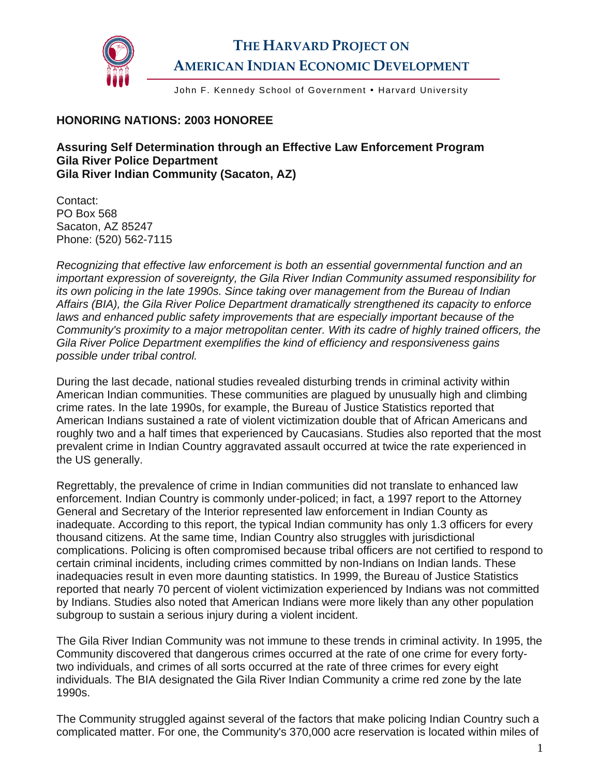

## **THE HARVARD PROJECT ON AMERICAN INDIAN ECONOMIC DEVELOPMENT**

John F. Kennedy School of Government . Harvard University

## **HONORING NATIONS: 2003 HONOREE**

**Assuring Self Determination through an Effective Law Enforcement Program Gila River Police Department Gila River Indian Community (Sacaton, AZ)** 

Contact: PO Box 568 Sacaton, AZ 85247 Phone: (520) 562-7115

*Recognizing that effective law enforcement is both an essential governmental function and an important expression of sovereignty, the Gila River Indian Community assumed responsibility for its own policing in the late 1990s. Since taking over management from the Bureau of Indian Affairs (BIA), the Gila River Police Department dramatically strengthened its capacity to enforce laws and enhanced public safety improvements that are especially important because of the Community's proximity to a major metropolitan center. With its cadre of highly trained officers, the Gila River Police Department exemplifies the kind of efficiency and responsiveness gains possible under tribal control.* 

During the last decade, national studies revealed disturbing trends in criminal activity within American Indian communities. These communities are plagued by unusually high and climbing crime rates. In the late 1990s, for example, the Bureau of Justice Statistics reported that American Indians sustained a rate of violent victimization double that of African Americans and roughly two and a half times that experienced by Caucasians. Studies also reported that the most prevalent crime in Indian Country aggravated assault occurred at twice the rate experienced in the US generally.

Regrettably, the prevalence of crime in Indian communities did not translate to enhanced law enforcement. Indian Country is commonly under-policed; in fact, a 1997 report to the Attorney General and Secretary of the Interior represented law enforcement in Indian County as inadequate. According to this report, the typical Indian community has only 1.3 officers for every thousand citizens. At the same time, Indian Country also struggles with jurisdictional complications. Policing is often compromised because tribal officers are not certified to respond to certain criminal incidents, including crimes committed by non-Indians on Indian lands. These inadequacies result in even more daunting statistics. In 1999, the Bureau of Justice Statistics reported that nearly 70 percent of violent victimization experienced by Indians was not committed by Indians. Studies also noted that American Indians were more likely than any other population subgroup to sustain a serious injury during a violent incident.

The Gila River Indian Community was not immune to these trends in criminal activity. In 1995, the Community discovered that dangerous crimes occurred at the rate of one crime for every fortytwo individuals, and crimes of all sorts occurred at the rate of three crimes for every eight individuals. The BIA designated the Gila River Indian Community a crime red zone by the late 1990s.

The Community struggled against several of the factors that make policing Indian Country such a complicated matter. For one, the Community's 370,000 acre reservation is located within miles of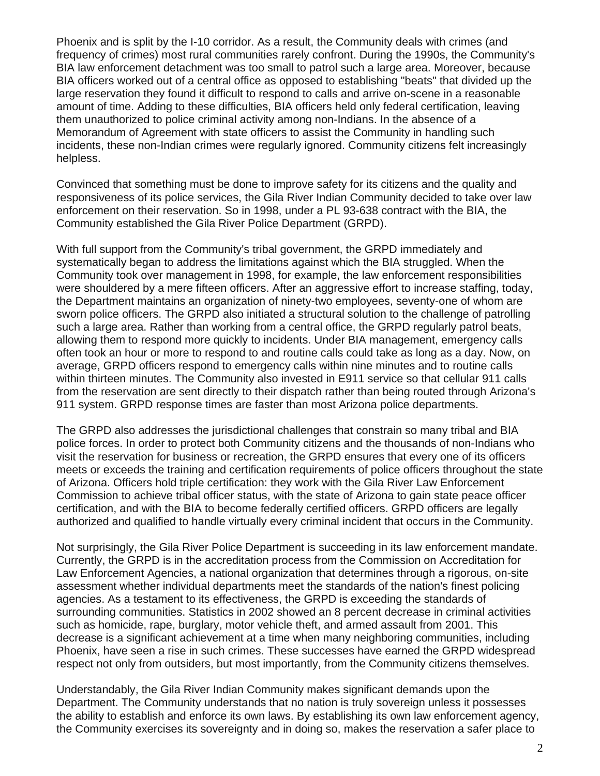Phoenix and is split by the I-10 corridor. As a result, the Community deals with crimes (and frequency of crimes) most rural communities rarely confront. During the 1990s, the Community's BIA law enforcement detachment was too small to patrol such a large area. Moreover, because BIA officers worked out of a central office as opposed to establishing "beats" that divided up the large reservation they found it difficult to respond to calls and arrive on-scene in a reasonable amount of time. Adding to these difficulties, BIA officers held only federal certification, leaving them unauthorized to police criminal activity among non-Indians. In the absence of a Memorandum of Agreement with state officers to assist the Community in handling such incidents, these non-Indian crimes were regularly ignored. Community citizens felt increasingly helpless.

Convinced that something must be done to improve safety for its citizens and the quality and responsiveness of its police services, the Gila River Indian Community decided to take over law enforcement on their reservation. So in 1998, under a PL 93-638 contract with the BIA, the Community established the Gila River Police Department (GRPD).

With full support from the Community's tribal government, the GRPD immediately and systematically began to address the limitations against which the BIA struggled. When the Community took over management in 1998, for example, the law enforcement responsibilities were shouldered by a mere fifteen officers. After an aggressive effort to increase staffing, today, the Department maintains an organization of ninety-two employees, seventy-one of whom are sworn police officers. The GRPD also initiated a structural solution to the challenge of patrolling such a large area. Rather than working from a central office, the GRPD regularly patrol beats, allowing them to respond more quickly to incidents. Under BIA management, emergency calls often took an hour or more to respond to and routine calls could take as long as a day. Now, on average, GRPD officers respond to emergency calls within nine minutes and to routine calls within thirteen minutes. The Community also invested in E911 service so that cellular 911 calls from the reservation are sent directly to their dispatch rather than being routed through Arizona's 911 system. GRPD response times are faster than most Arizona police departments.

The GRPD also addresses the jurisdictional challenges that constrain so many tribal and BIA police forces. In order to protect both Community citizens and the thousands of non-Indians who visit the reservation for business or recreation, the GRPD ensures that every one of its officers meets or exceeds the training and certification requirements of police officers throughout the state of Arizona. Officers hold triple certification: they work with the Gila River Law Enforcement Commission to achieve tribal officer status, with the state of Arizona to gain state peace officer certification, and with the BIA to become federally certified officers. GRPD officers are legally authorized and qualified to handle virtually every criminal incident that occurs in the Community.

Not surprisingly, the Gila River Police Department is succeeding in its law enforcement mandate. Currently, the GRPD is in the accreditation process from the Commission on Accreditation for Law Enforcement Agencies, a national organization that determines through a rigorous, on-site assessment whether individual departments meet the standards of the nation's finest policing agencies. As a testament to its effectiveness, the GRPD is exceeding the standards of surrounding communities. Statistics in 2002 showed an 8 percent decrease in criminal activities such as homicide, rape, burglary, motor vehicle theft, and armed assault from 2001. This decrease is a significant achievement at a time when many neighboring communities, including Phoenix, have seen a rise in such crimes. These successes have earned the GRPD widespread respect not only from outsiders, but most importantly, from the Community citizens themselves.

Understandably, the Gila River Indian Community makes significant demands upon the Department. The Community understands that no nation is truly sovereign unless it possesses the ability to establish and enforce its own laws. By establishing its own law enforcement agency, the Community exercises its sovereignty and in doing so, makes the reservation a safer place to